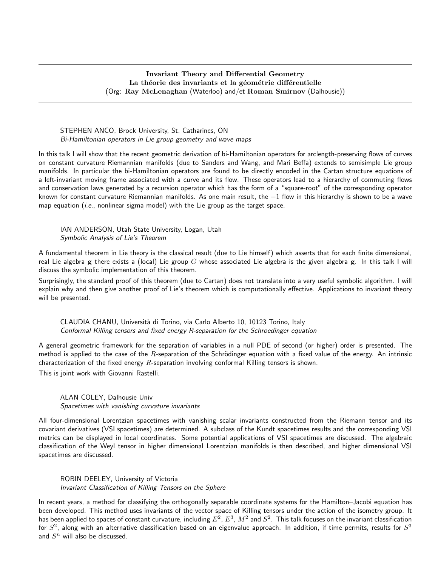## Invariant Theory and Differential Geometry La théorie des invariants et la géométrie différentielle (Org: Ray McLenaghan (Waterloo) and/et Roman Smirnov (Dalhousie))

### STEPHEN ANCO, Brock University, St. Catharines, ON Bi-Hamiltonian operators in Lie group geometry and wave maps

In this talk I will show that the recent geometric derivation of bi-Hamiltonian operators for arclength-preserving flows of curves on constant curvature Riemannian manifolds (due to Sanders and Wang, and Mari Beffa) extends to semisimple Lie group manifolds. In particular the bi-Hamiltonian operators are found to be directly encoded in the Cartan structure equations of a left-invariant moving frame associated with a curve and its flow. These operators lead to a hierarchy of commuting flows and conservation laws generated by a recursion operator which has the form of a "square-root" of the corresponding operator known for constant curvature Riemannian manifolds. As one main result, the −1 flow in this hierarchy is shown to be a wave map equation  $(i.e.,$  nonlinear sigma model) with the Lie group as the target space.

IAN ANDERSON, Utah State University, Logan, Utah Symbolic Analysis of Lie's Theorem

A fundamental theorem in Lie theory is the classical result (due to Lie himself) which asserts that for each finite dimensional, real Lie algebra g there exists a (local) Lie group  $G$  whose associated Lie algebra is the given algebra g. In this talk I will discuss the symbolic implementation of this theorem.

Surprisingly, the standard proof of this theorem (due to Cartan) does not translate into a very useful symbolic algorithm. I will explain why and then give another proof of Lie's theorem which is computationally effective. Applications to invariant theory will be presented.

CLAUDIA CHANU, Università di Torino, via Carlo Alberto 10, 10123 Torino, Italy Conformal Killing tensors and fixed energy R-separation for the Schroedinger equation

A general geometric framework for the separation of variables in a null PDE of second (or higher) order is presented. The method is applied to the case of the  $R$ -separation of the Schrödinger equation with a fixed value of the energy. An intrinsic characterization of the fixed energy  $R$ -separation involving conformal Killing tensors is shown.

This is joint work with Giovanni Rastelli.

ALAN COLEY, Dalhousie Univ Spacetimes with vanishing curvature invariants

All four-dimensional Lorentzian spacetimes with vanishing scalar invariants constructed from the Riemann tensor and its covariant derivatives (VSI spacetimes) are determined. A subclass of the Kundt spacetimes results and the corresponding VSI metrics can be displayed in local coordinates. Some potential applications of VSI spacetimes are discussed. The algebraic classification of the Weyl tensor in higher dimensional Lorentzian manifolds is then described, and higher dimensional VSI spacetimes are discussed.

ROBIN DEELEY, University of Victoria Invariant Classification of Killing Tensors on the Sphere

In recent years, a method for classifying the orthogonally separable coordinate systems for the Hamilton–Jacobi equation has been developed. This method uses invariants of the vector space of Killing tensors under the action of the isometry group. It has been applied to spaces of constant curvature, including  $E^2$ ,  $E^3$ ,  $M^2$  and  $S^2$ . This talk focuses on the invariant classification for  $S^2$ , along with an alternative classification based on an eigenvalue approach. In addition, if time permits, results for  $S^3$ and  $S<sup>n</sup>$  will also be discussed.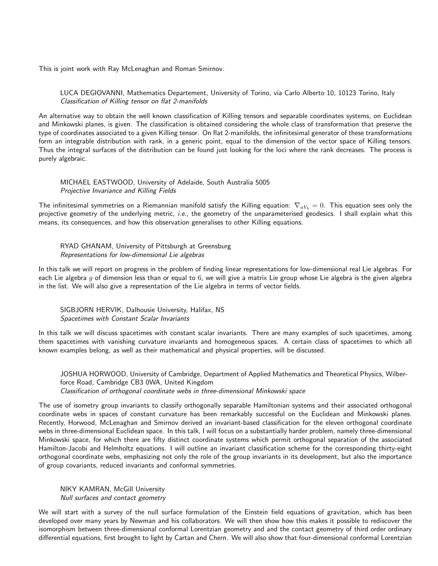This is joint work with Ray McLenaghan and Roman Smirnov.

LUCA DEGIOVANNI, Mathematics Departement, University of Torino, via Carlo Alberto 10, 10123 Torino, Italy Classification of Killing tensor on flat 2-manifolds

An alternative way to obtain the well known classification of Killing tensors and separable coordinates systems, on Euclidean and Minkowski planes, is given. The classification is obtained considering the whole class of transformation that preserve the type of coordinates associated to a given Killing tensor. On flat 2-manifolds, the infinitesimal generator of these transformations form an integrable distribution with rank, in a generic point, equal to the dimension of the vector space of Killing tensors. Thus the integral surfaces of the distribution can be found just looking for the loci where the rank decreases. The process is purely algebraic.

MICHAEL EASTWOOD, University of Adelaide, South Australia 5005 Projective Invariance and Killing Fields

The infinitesimal symmetries on a Riemannian manifold satisfy the Killing equation:  $\nabla_{aV_b} = 0$ . This equation sees only the projective geometry of the underlying metric, i.e., the geometry of the unparameterised geodesics. I shall explain what this means, its consequences, and how this observation generalises to other Killing equations.

RYAD GHANAM, University of Pittsburgh at Greensburg Representations for low-dimensional Lie algebras

In this talk we will report on progress in the problem of finding linear representations for low-dimensional real Lie algebras. For each Lie algebra g of dimension less than or equal to 6, we will give a matrix Lie group whose Lie algebra is the given algebra in the list. We will also give a representation of the Lie algebra in terms of vector fields.

SIGBJORN HERVIK, Dalhousie University, Halifax, NS Spacetimes with Constant Scalar Invariants

In this talk we will discuss spacetimes with constant scalar invariants. There are many examples of such spacetimes, among them spacetimes with vanishing curvature invariants and homogeneous spaces. A certain class of spacetimes to which all known examples belong, as well as their mathematical and physical properties, will be discussed.

JOSHUA HORWOOD, University of Cambridge, Department of Applied Mathematics and Theoretical Physics, Wilberforce Road, Cambridge CB3 0WA, United Kingdom Classification of orthogonal coordinate webs in three-dimensional Minkowski space

The use of isometry group invariants to classify orthogonally separable Hamiltonian systems and their associated orthogonal coordinate webs in spaces of constant curvature has been remarkably successful on the Euclidean and Minkowski planes. Recently, Horwood, McLenaghan and Smirnov derived an invariant-based classification for the eleven orthogonal coordinate webs in three-dimensional Euclidean space. In this talk, I will focus on a substantially harder problem, namely three-dimensional Minkowski space, for which there are fifty distinct coordinate systems which permit orthogonal separation of the associated Hamilton-Jacobi and Helmholtz equations. I will outline an invariant classification scheme for the corresponding thirty-eight orthogonal coordinate webs, emphasizing not only the role of the group invariants in its development, but also the importance of group covariants, reduced invariants and conformal symmetries.

NIKY KAMRAN, McGill University Null surfaces and contact geometry

We will start with a survey of the null surface formulation of the Einstein field equations of gravitation, which has been developed over many years by Newman and his collaborators. We will then show how this makes it possible to rediscover the isomorphism between three-dimensional conformal Lorentzian geometry and and the contact geometry of third order ordinary differential equations, first brought to light by Cartan and Chern. We will also show that four-dimensional conformal Lorentzian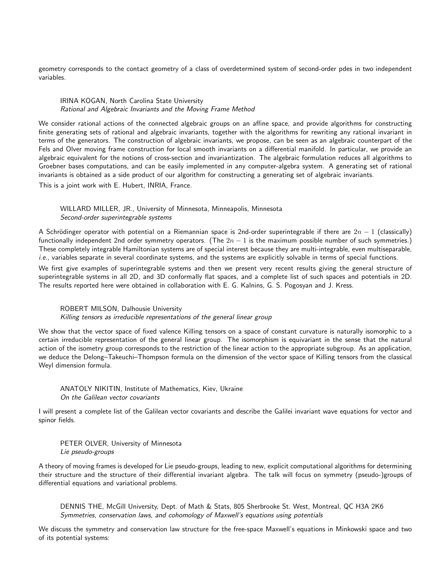geometry corresponds to the contact geometry of a class of overdetermined system of second-order pdes in two independent variables.

### IRINA KOGAN, North Carolina State University Rational and Algebraic Invariants and the Moving Frame Method

We consider rational actions of the connected algebraic groups on an affine space, and provide algorithms for constructing finite generating sets of rational and algebraic invariants, together with the algorithms for rewriting any rational invariant in terms of the generators. The construction of algebraic invariants, we propose, can be seen as an algebraic counterpart of the Fels and Olver moving frame construction for local smooth invariants on a differential manifold. In particular, we provide an algebraic equivalent for the notions of cross-section and invariantization. The algebraic formulation reduces all algorithms to Groebner bases computations, and can be easily implemented in any computer-algebra system. A generating set of rational invariants is obtained as a side product of our algorithm for constructing a generating set of algebraic invariants.

This is a joint work with E. Hubert, INRIA, France.

WILLARD MILLER, JR., University of Minnesota, Minneapolis, Minnesota Second-order superintegrable systems

A Schrödinger operator with potential on a Riemannian space is 2nd-order superintegrable if there are  $2n - 1$  (classically) functionally independent 2nd order symmetry operators. (The  $2n - 1$  is the maximum possible number of such symmetries.) These completely integrable Hamiltonian systems are of special interest because they are multi-integrable, even multiseparable, i.e., variables separate in several coordinate systems, and the systems are explicitly solvable in terms of special functions.

We first give examples of superintegrable systems and then we present very recent results giving the general structure of superintegrable systems in all 2D, and 3D conformally flat spaces, and a complete list of such spaces and potentials in 2D. The results reported here were obtained in collaboration with E. G. Kalnins, G. S. Pogosyan and J. Kress.

#### ROBERT MILSON, Dalhousie University

Killing tensors as irreducible representations of the general linear group

We show that the vector space of fixed valence Killing tensors on a space of constant curvature is naturally isomorphic to a certain irreducible representation of the general linear group. The isomorphism is equivariant in the sense that the natural action of the isometry group corresponds to the restriction of the linear action to the appropriate subgroup. As an application, we deduce the Delong–Takeuchi–Thompson formula on the dimension of the vector space of Killing tensors from the classical Weyl dimension formula.

# ANATOLY NIKITIN, Institute of Mathematics, Kiev, Ukraine On the Galilean vector covariants

I will present a complete list of the Galilean vector covariants and describe the Galilei invariant wave equations for vector and spinor fields.

PETER OLVER, University of Minnesota Lie pseudo-groups

A theory of moving frames is developed for Lie pseudo-groups, leading to new, explicit computational algorithms for determining their structure and the structure of their differential invariant algebra. The talk will focus on symmetry (pseudo-)groups of differential equations and variational problems.

DENNIS THE, McGill University, Dept. of Math & Stats, 805 Sherbrooke St. West, Montreal, QC H3A 2K6 Symmetries, conservation laws, and cohomology of Maxwell's equations using potentials

We discuss the symmetry and conservation law structure for the free-space Maxwell's equations in Minkowski space and two of its potential systems: